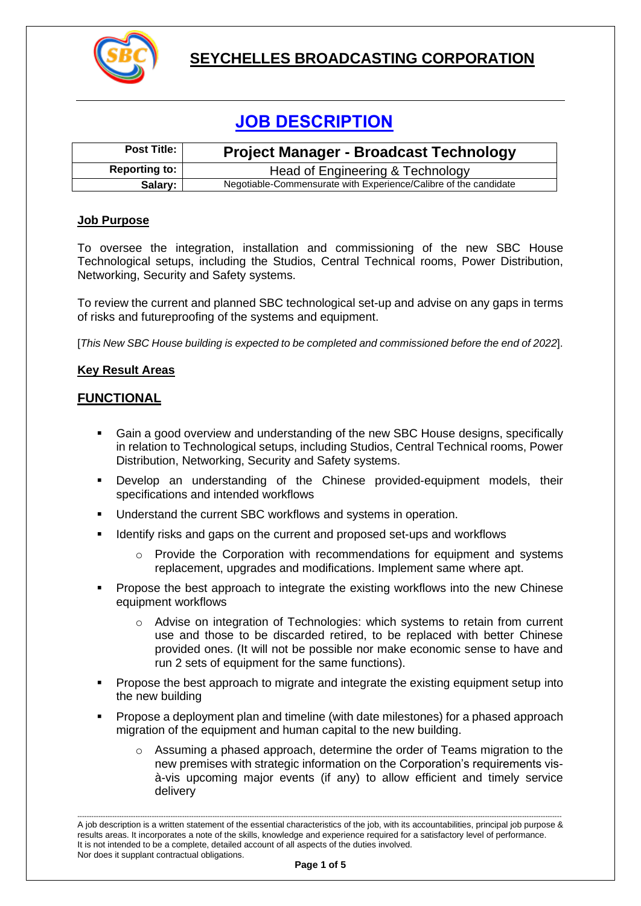

### **SEYCHELLES BROADCASTING CORPORATION**

# **JOB DESCRIPTION**

| <b>Post Title:</b>   | <b>Project Manager - Broadcast Technology</b>                    |
|----------------------|------------------------------------------------------------------|
| <b>Reporting to:</b> | Head of Engineering & Technology                                 |
| Salary:              | Negotiable-Commensurate with Experience/Calibre of the candidate |

#### **Job Purpose**

To oversee the integration, installation and commissioning of the new SBC House Technological setups, including the Studios, Central Technical rooms, Power Distribution, Networking, Security and Safety systems.

To review the current and planned SBC technological set-up and advise on any gaps in terms of risks and futureproofing of the systems and equipment.

[*This New SBC House building is expected to be completed and commissioned before the end of 2022*].

#### **Key Result Areas**

#### **FUNCTIONAL**

- Gain a good overview and understanding of the new SBC House designs, specifically in relation to Technological setups, including Studios, Central Technical rooms, Power Distribution, Networking, Security and Safety systems.
- Develop an understanding of the Chinese provided-equipment models, their specifications and intended workflows
- Understand the current SBC workflows and systems in operation.
- Identify risks and gaps on the current and proposed set-ups and workflows
	- o Provide the Corporation with recommendations for equipment and systems replacement, upgrades and modifications. Implement same where apt.
- Propose the best approach to integrate the existing workflows into the new Chinese equipment workflows
	- $\circ$  Advise on integration of Technologies: which systems to retain from current use and those to be discarded retired, to be replaced with better Chinese provided ones. (It will not be possible nor make economic sense to have and run 2 sets of equipment for the same functions).
- Propose the best approach to migrate and integrate the existing equipment setup into the new building
- Propose a deployment plan and timeline (with date milestones) for a phased approach migration of the equipment and human capital to the new building.
	- $\circ$  Assuming a phased approach, determine the order of Teams migration to the new premises with strategic information on the Corporation's requirements visà-vis upcoming major events (if any) to allow efficient and timely service delivery

<sup>----------------------------------------------------------------------------------------------------------------------------------------------------------------------------------------------------------------</sup> A job description is a written statement of the essential characteristics of the job, with its accountabilities, principal job purpose & results areas. It incorporates a note of the skills, knowledge and experience required for a satisfactory level of performance. It is not intended to be a complete, detailed account of all aspects of the duties involved. Nor does it supplant contractual obligations.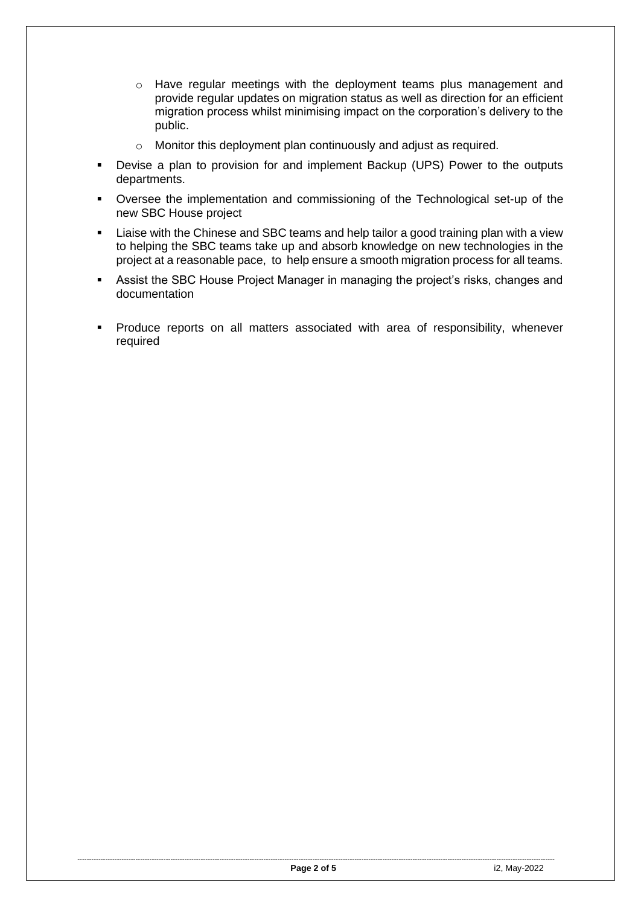- o Have regular meetings with the deployment teams plus management and provide regular updates on migration status as well as direction for an efficient migration process whilst minimising impact on the corporation's delivery to the public.
- o Monitor this deployment plan continuously and adjust as required.
- Devise a plan to provision for and implement Backup (UPS) Power to the outputs departments.
- Oversee the implementation and commissioning of the Technological set-up of the new SBC House project
- Liaise with the Chinese and SBC teams and help tailor a good training plan with a view to helping the SBC teams take up and absorb knowledge on new technologies in the project at a reasonable pace, to help ensure a smooth migration process for all teams.
- Assist the SBC House Project Manager in managing the project's risks, changes and documentation
- Produce reports on all matters associated with area of responsibility, whenever required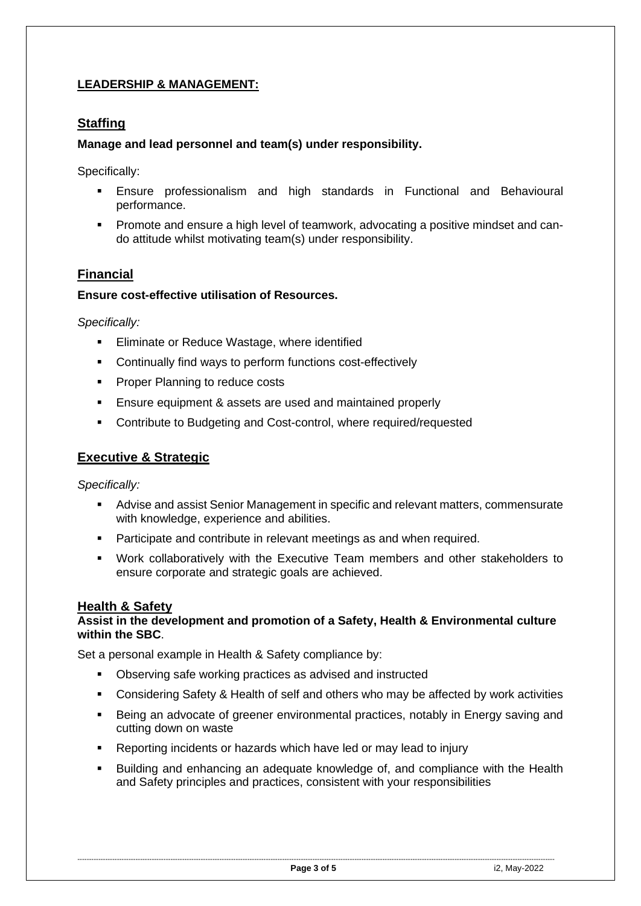#### **LEADERSHIP & MANAGEMENT:**

#### **Staffing**

#### **Manage and lead personnel and team(s) under responsibility.**

Specifically:

- **Ensure professionalism and high standards in Functional and Behavioural** performance.
- Promote and ensure a high level of teamwork, advocating a positive mindset and cando attitude whilst motivating team(s) under responsibility.

#### **Financial**

#### **Ensure cost-effective utilisation of Resources.**

*Specifically:*

- Eliminate or Reduce Wastage, where identified
- Continually find ways to perform functions cost-effectively
- Proper Planning to reduce costs
- Ensure equipment & assets are used and maintained properly
- Contribute to Budgeting and Cost-control, where required/requested

#### **Executive & Strategic**

*Specifically:*

- Advise and assist Senior Management in specific and relevant matters, commensurate with knowledge, experience and abilities.
- Participate and contribute in relevant meetings as and when required.
- Work collaboratively with the Executive Team members and other stakeholders to ensure corporate and strategic goals are achieved.

#### **Health & Safety**

#### **Assist in the development and promotion of a Safety, Health & Environmental culture within the SBC**.

Set a personal example in Health & Safety compliance by:

- Observing safe working practices as advised and instructed
- **Considering Safety & Health of self and others who may be affected by work activities**
- **EXECT** Being an advocate of greener environmental practices, notably in Energy saving and cutting down on waste
- Reporting incidents or hazards which have led or may lead to injury
- Building and enhancing an adequate knowledge of, and compliance with the Health and Safety principles and practices, consistent with your responsibilities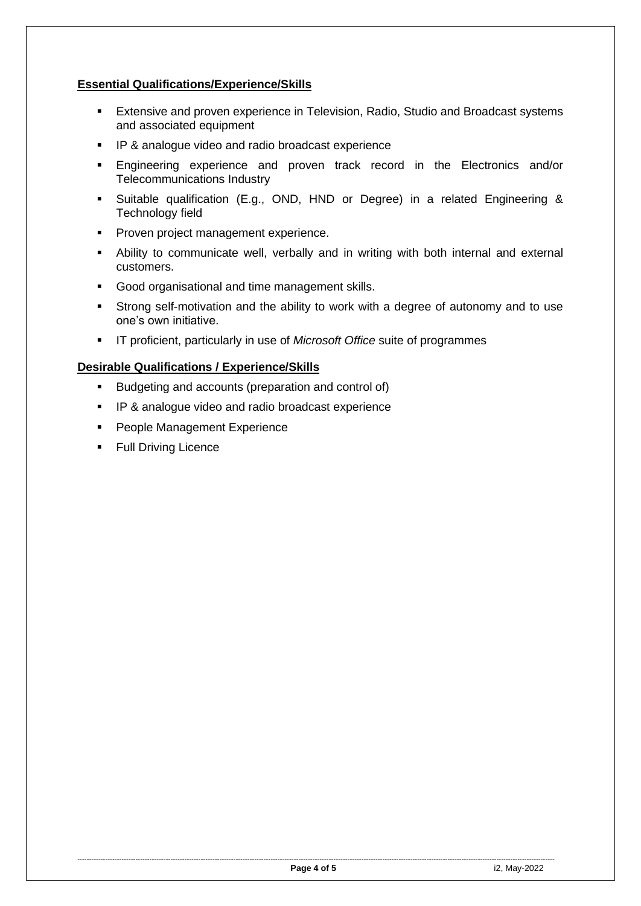#### **Essential Qualifications/Experience/Skills**

- **Extensive and proven experience in Television, Radio, Studio and Broadcast systems** and associated equipment
- IP & analogue video and radio broadcast experience
- Engineering experience and proven track record in the Electronics and/or Telecommunications Industry
- Suitable qualification (E.g., OND, HND or Degree) in a related Engineering & Technology field
- **Proven project management experience.**
- **E** Ability to communicate well, verbally and in writing with both internal and external customers.
- Good organisational and time management skills.
- **EXT** Strong self-motivation and the ability to work with a degree of autonomy and to use one's own initiative.
- IT proficient, particularly in use of *Microsoft Office* suite of programmes

#### **Desirable Qualifications / Experience/Skills**

- Budgeting and accounts (preparation and control of)
- IP & analogue video and radio broadcast experience
- **People Management Experience**
- Full Driving Licence